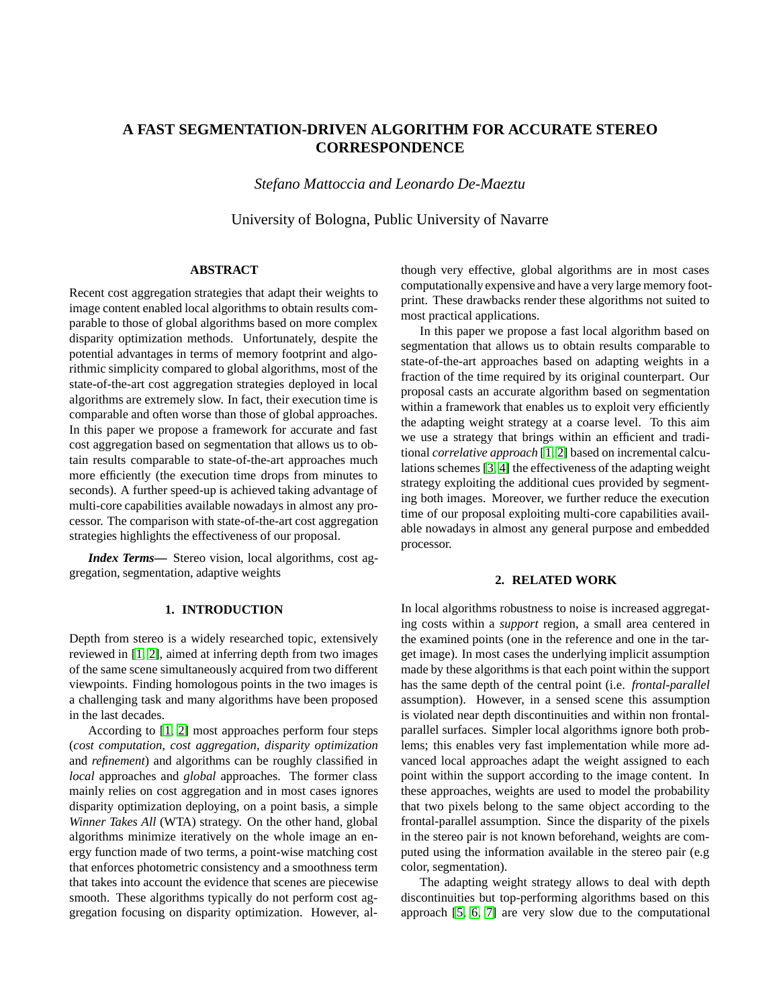# **A FAST SEGMENTATION-DRIVEN ALGORITHM FOR ACCURATE STEREO CORRESPONDENCE**

*Stefano Mattoccia and Leonardo De-Maeztu*

University of Bologna, Public University of Navarre

### **ABSTRACT**

Recent cost aggregation strategies that adapt their weights to image content enabled local algorithms to obtain results comparable to those of global algorithms based on more complex disparity optimization methods. Unfortunately, despite the potential advantages in terms of memory footprint and algorithmic simplicity compared to global algorithms, most of the state-of-the-art cost aggregation strategies deployed in local algorithms are extremely slow. In fact, their execution time is comparable and often worse than those of global approaches. In this paper we propose a framework for accurate and fast cost aggregation based on segmentation that allows us to obtain results comparable to state-of-the-art approaches much more efficiently (the execution time drops from minutes to seconds). A further speed-up is achieved taking advantage of multi-core capabilities available nowadays in almost any processor. The comparison with state-of-the-art cost aggregation strategies highlights the effectiveness of our proposal.

*Index Terms***—** Stereo vision, local algorithms, cost aggregation, segmentation, adaptive weights

### **1. INTRODUCTION**

Depth from stereo is a widely researched topic, extensively reviewed in [\[1,](#page-2-0) [2\]](#page-2-1), aimed at inferring depth from two images of the same scene simultaneously acquired from two different viewpoints. Finding homologous points in the two images is a challenging task and many algorithms have been proposed in the last decades.

According to [\[1,](#page-2-0) [2\]](#page-2-1) most approaches perform four steps (*cost computation*, *cost aggregation*, *disparity optimization* and *refinement*) and algorithms can be roughly classified in *local* approaches and *global* approaches. The former class mainly relies on cost aggregation and in most cases ignores disparity optimization deploying, on a point basis, a simple *Winner Takes All* (WTA) strategy. On the other hand, global algorithms minimize iteratively on the whole image an energy function made of two terms, a point-wise matching cost that enforces photometric consistency and a smoothness term that takes into account the evidence that scenes are piecewise smooth. These algorithms typically do not perform cost aggregation focusing on disparity optimization. However, although very effective, global algorithms are in most cases computationally expensive and have a very large memory footprint. These drawbacks render these algorithms not suited to most practical applications.

In this paper we propose a fast local algorithm based on segmentation that allows us to obtain results comparable to state-of-the-art approaches based on adapting weights in a fraction of the time required by its original counterpart. Our proposal casts an accurate algorithm based on segmentation within a framework that enables us to exploit very efficiently the adapting weight strategy at a coarse level. To this aim we use a strategy that brings within an efficient and traditional *correlative approach* [\[1,](#page-2-0) [2\]](#page-2-1) based on incremental calculations schemes [\[3,](#page-2-2) [4\]](#page-2-3) the effectiveness of the adapting weight strategy exploiting the additional cues provided by segmenting both images. Moreover, we further reduce the execution time of our proposal exploiting multi-core capabilities available nowadays in almost any general purpose and embedded processor.

#### **2. RELATED WORK**

In local algorithms robustness to noise is increased aggregating costs within a *support* region, a small area centered in the examined points (one in the reference and one in the target image). In most cases the underlying implicit assumption made by these algorithms is that each point within the support has the same depth of the central point (i.e. *frontal-parallel* assumption). However, in a sensed scene this assumption is violated near depth discontinuities and within non frontalparallel surfaces. Simpler local algorithms ignore both problems; this enables very fast implementation while more advanced local approaches adapt the weight assigned to each point within the support according to the image content. In these approaches, weights are used to model the probability that two pixels belong to the same object according to the frontal-parallel assumption. Since the disparity of the pixels in the stereo pair is not known beforehand, weights are computed using the information available in the stereo pair (e.g color, segmentation).

The adapting weight strategy allows to deal with depth discontinuities but top-performing algorithms based on this approach [\[5,](#page-3-0) [6,](#page-3-1) [7\]](#page-3-2) are very slow due to the computational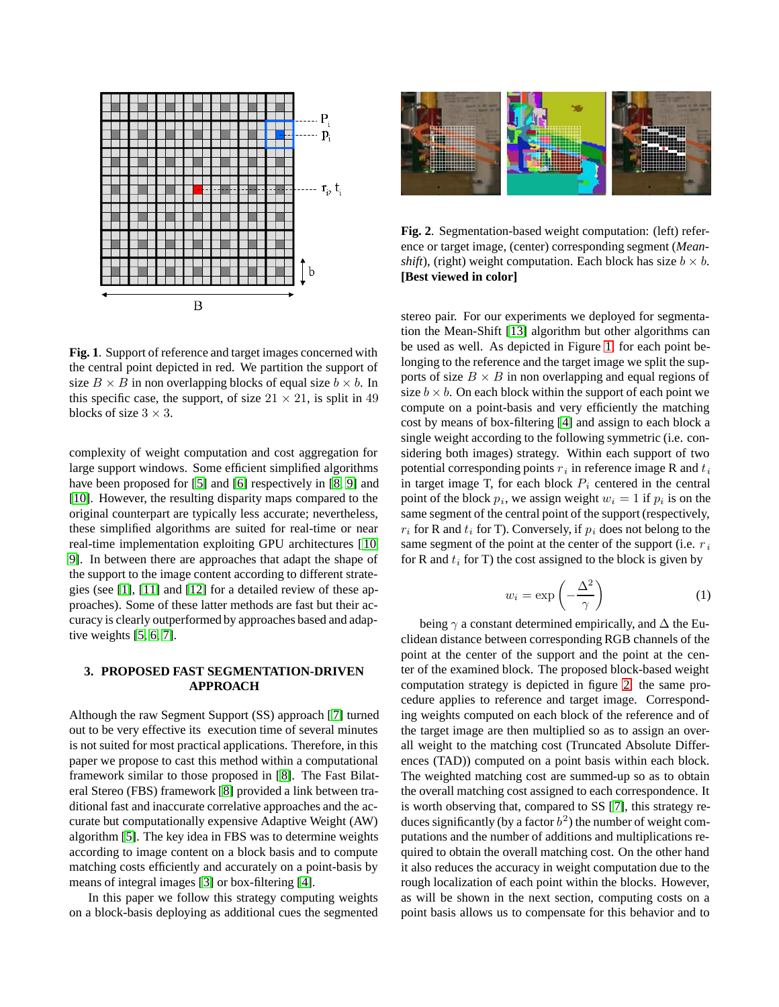

<span id="page-1-0"></span>**Fig. 1**. Support of reference and target images concerned with the central point depicted in red. We partition the support of size  $B \times B$  in non overlapping blocks of equal size  $b \times b$ . In this specific case, the support, of size  $21 \times 21$ , is split in 49 blocks of size 3 *×* 3.

complexity of weight computation and cost aggregation for large support windows. Some efficient simplified algorithms have been proposed for [[5\]](#page-3-0) and [\[6\]](#page-3-1) respectively in [\[8,](#page-3-3) [9\]](#page-3-4) and [\[10\]](#page-3-5). However, the resulting disparity maps compared to the original counterpart are typically less accurate; nevertheless, these simplified algorithms are suited for real-time or near real-time implementation exploiting GPU architectures [ [10,](#page-3-5) [9\]](#page-3-4). In between there are approaches that adapt the shape of the support to the image content according to different strategies (see [\[1\]](#page-2-0), [\[11\]](#page-3-6) and [\[12\]](#page-3-7) for a detailed review of these approaches). Some of these latter methods are fast but their accuracy is clearly outperformed by approaches based and adaptive weights [\[5,](#page-3-0) [6,](#page-3-1) [7\]](#page-3-2).

## **3. PROPOSED FAST SEGMENTATION-DRIVEN APPROACH**

Although the raw Segment Support (SS) approach [ [7\]](#page-3-2) turned out to be very effective its execution time of several minutes is not suited for most practical applications. Therefore, in this paper we propose to cast this method within a computational framework similar to those proposed in [\[8\]](#page-3-3). The Fast Bilateral Stereo (FBS) framework [\[8\]](#page-3-3) provided a link between traditional fast and inaccurate correlative approaches and the accurate but computationally expensive Adaptive Weight (AW) algorithm [\[5\]](#page-3-0). The key idea in FBS was to determine weights according to image content on a block basis and to compute matching costs efficiently and accurately on a point-basis by means of integral images [\[3\]](#page-2-2) or box-filtering [\[4\]](#page-2-3).

In this paper we follow this strategy computing weights on a block-basis deploying as additional cues the segmented



**Fig. 2**. Segmentation-based weight computation: (left) reference or target image, (center) corresponding segment (*Meanshift*), (right) weight computation. Each block has size  $b \times b$ . **[Best viewed in color]**

<span id="page-1-1"></span>stereo pair. For our experiments we deployed for segmentation the Mean-Shift [\[13\]](#page-3-8) algorithm but other algorithms can be used as well. As depicted in Figure [1,](#page-1-0) for each point belonging to the reference and the target image we split the supports of size  $B \times B$  in non overlapping and equal regions of size  $b \times b$ . On each block within the support of each point we compute on a point-basis and very efficiently the matching cost by means of box-filtering [\[4\]](#page-2-3) and assign to each block a single weight according to the following symmetric (i.e. considering both images) strategy. Within each support of two potential corresponding points  $r_i$  in reference image R and  $t_i$ in target image T, for each block  $P_i$  centered in the central point of the block  $p_i$ , we assign weight  $w_i = 1$  if  $p_i$  is on the same segment of the central point of the support (respectively,  $r_i$  for R and  $t_i$  for T). Conversely, if  $p_i$  does not belong to the same segment of the point at the center of the support (i.e. r *<sup>i</sup>* for R and  $t_i$  for T) the cost assigned to the block is given by

$$
w_i = \exp\left(-\frac{\Delta^2}{\gamma}\right) \tag{1}
$$

being  $\gamma$  a constant determined empirically, and  $\Delta$  the Euclidean distance between corresponding RGB channels of the point at the center of the support and the point at the center of the examined block. The proposed block-based weight computation strategy is depicted in figure [2;](#page-1-1) the same procedure applies to reference and target image. Corresponding weights computed on each block of the reference and of the target image are then multiplied so as to assign an overall weight to the matching cost (Truncated Absolute Differences (TAD)) computed on a point basis within each block. The weighted matching cost are summed-up so as to obtain the overall matching cost assigned to each correspondence. It is worth observing that, compared to SS [\[7\]](#page-3-2), this strategy reduces significantly (by a factor  $b<sup>2</sup>$ ) the number of weight computations and the number of additions and multiplications required to obtain the overall matching cost. On the other hand it also reduces the accuracy in weight computation due to the rough localization of each point within the blocks. However, as will be shown in the next section, computing costs on a point basis allows us to compensate for this behavior and to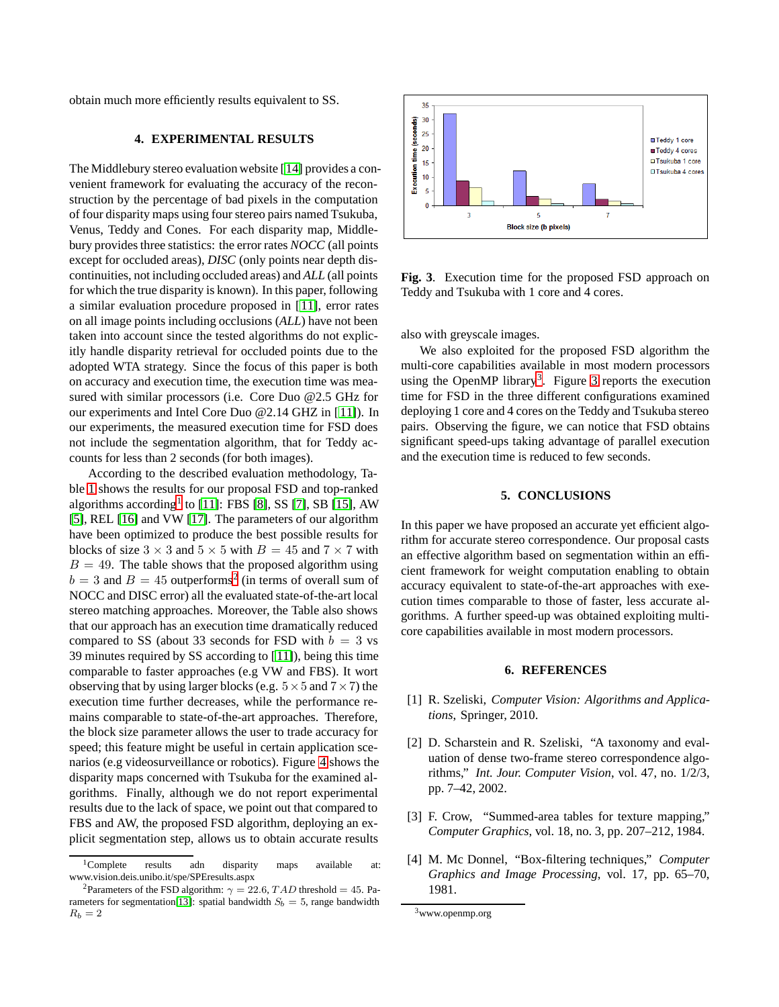obtain much more efficiently results equivalent to SS.

# **4. EXPERIMENTAL RESULTS**

The Middlebury stereo evaluation website [[14\]](#page-3-9) provides a convenient framework for evaluating the accuracy of the reconstruction by the percentage of bad pixels in the computation of four disparity maps using four stereo pairs named Tsukuba, Venus, Teddy and Cones. For each disparity map, Middlebury provides three statistics: the error rates *NOCC* (all points except for occluded areas), *DISC* (only points near depth discontinuities, not including occluded areas) and *ALL* (all points for which the true disparity is known). In this paper, following a similar evaluation procedure proposed in [ [11\]](#page-3-6), error rates on all image points including occlusions (*ALL*) have not been taken into account since the tested algorithms do not explicitly handle disparity retrieval for occluded points due to the adopted WTA strategy. Since the focus of this paper is both on accuracy and execution time, the execution time was measured with similar processors (i.e. Core Duo @2.5 GHz for our experiments and Intel Core Duo @2.14 GHZ in [\[ 11\]](#page-3-6)). In our experiments, the measured execution time for FSD does not include the segmentation algorithm, that for Teddy accounts for less than 2 seconds (for both images).

According to the described evaluation methodology, Table [1](#page-3-10) shows the results for our proposal FSD and top-ranked algorithms according<sup>[1](#page-2-4)</sup> to [\[11\]](#page-3-6): FBS [\[8\]](#page-3-3), SS [\[7\]](#page-3-2), SB [\[15\]](#page-3-11), AW [\[5\]](#page-3-0), REL [\[16\]](#page-3-12) and VW [\[17\]](#page-3-13). The parameters of our algorithm have been optimized to produce the best possible results for blocks of size  $3 \times 3$  and  $5 \times 5$  with  $B = 45$  and  $7 \times 7$  with  $B = 49$ . The table shows that the proposed algorithm using  $b = 3$  and  $B = 45$  outperforms<sup>[2](#page-2-5)</sup> (in terms of overall sum of NOCC and DISC error) all the evaluated state-of-the-art local stereo matching approaches. Moreover, the Table also shows that our approach has an execution time dramatically reduced compared to SS (about 33 seconds for FSD with  $b = 3$  vs 39 minutes required by SS according to [ [11\]](#page-3-6)), being this time comparable to faster approaches (e.g VW and FBS). It wort observing that by using larger blocks (e.g. 5*×*5 and 7*×*7) the execution time further decreases, while the performance remains comparable to state-of-the-art approaches. Therefore, the block size parameter allows the user to trade accuracy for speed; this feature might be useful in certain application scenarios (e.g videosurveillance or robotics). Figure [4](#page-4-0) shows the disparity maps concerned with Tsukuba for the examined algorithms. Finally, although we do not report experimental results due to the lack of space, we point out that compared to FBS and AW, the proposed FSD algorithm, deploying an explicit segmentation step, allows us to obtain accurate results



<span id="page-2-7"></span>**Fig. 3**. Execution time for the proposed FSD approach on Teddy and Tsukuba with 1 core and 4 cores.

also with greyscale images.

We also exploited for the proposed FSD algorithm the multi-core capabilities available in most modern processors using the OpenMP library<sup>[3](#page-2-6)</sup>. Figure [3](#page-2-7) reports the execution time for FSD in the three different configurations examined deploying 1 core and 4 cores on the Teddy and Tsukuba stereo pairs. Observing the figure, we can notice that FSD obtains significant speed-ups taking advantage of parallel execution and the execution time is reduced to few seconds.

#### **5. CONCLUSIONS**

In this paper we have proposed an accurate yet efficient algorithm for accurate stereo correspondence. Our proposal casts an effective algorithm based on segmentation within an efficient framework for weight computation enabling to obtain accuracy equivalent to state-of-the-art approaches with execution times comparable to those of faster, less accurate algorithms. A further speed-up was obtained exploiting multicore capabilities available in most modern processors.

#### **6. REFERENCES**

- <span id="page-2-0"></span>[1] R. Szeliski, *Computer Vision: Algorithms and Applications*, Springer, 2010.
- <span id="page-2-1"></span>[2] D. Scharstein and R. Szeliski, "A taxonomy and evaluation of dense two-frame stereo correspondence algorithms," *Int. Jour. Computer Vision*, vol. 47, no. 1/2/3, pp. 7–42, 2002.
- <span id="page-2-2"></span>[3] F. Crow, "Summed-area tables for texture mapping," *Computer Graphics*, vol. 18, no. 3, pp. 207–212, 1984.
- <span id="page-2-3"></span>[4] M. Mc Donnel, "Box-filtering techniques," *Computer Graphics and Image Processing*, vol. 17, pp. 65–70, 1981.

<sup>&</sup>lt;sup>1</sup>Complete results adn disparity maps available at: www.vision.deis.unibo.it/spe/SPEresults.aspx

<span id="page-2-5"></span><span id="page-2-4"></span><sup>&</sup>lt;sup>2</sup>Parameters of the FSD algorithm:  $\gamma = 22.6$ , TAD threshold = 45. Pa-rameters for segmentation<sup>[\[13\]](#page-3-8)</sup>: spatial bandwidth  $S_b = 5$ , range bandwidth  $R_b = 2$ 

<span id="page-2-6"></span><sup>3</sup>www.openmp.org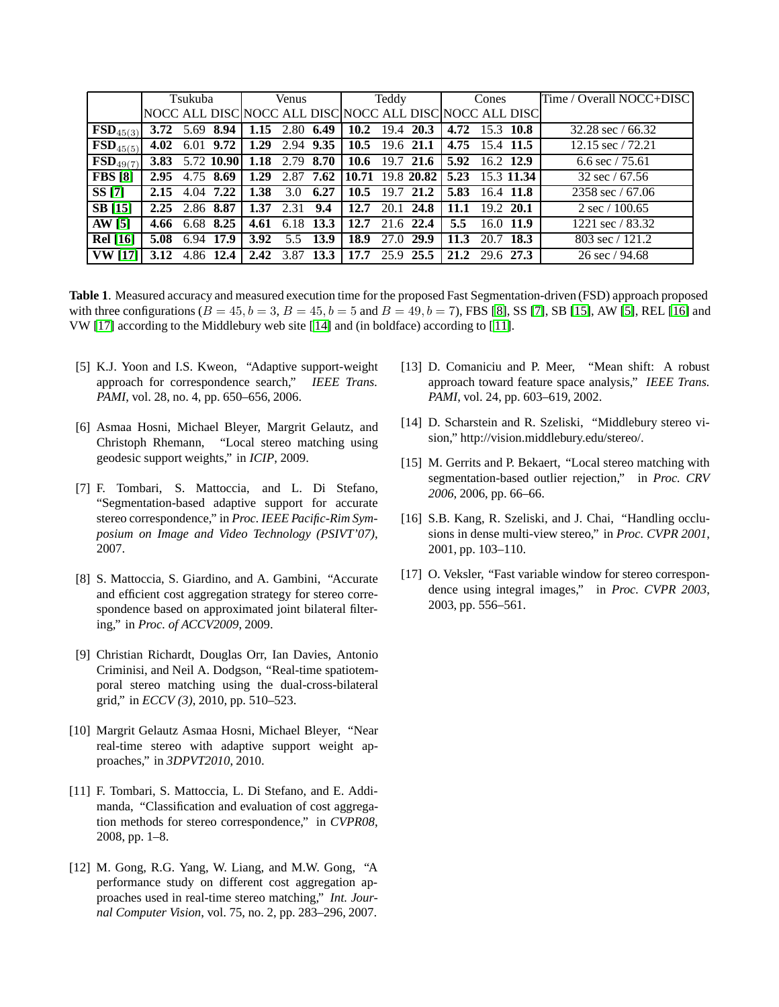|                                   | Tsukuba |                  |                 | Venus |      |                  | Teddy                                       |      |           | Cones                                                   |           |             | Time / Overall NOCC+DISC    |
|-----------------------------------|---------|------------------|-----------------|-------|------|------------------|---------------------------------------------|------|-----------|---------------------------------------------------------|-----------|-------------|-----------------------------|
|                                   |         |                  |                 |       |      |                  |                                             |      |           | NOCC ALL DISC NOCC ALL DISC NOCC ALL DISC NOCC ALL DISC |           |             |                             |
| $\overline{\textbf{FSD}}_{45(3)}$ |         |                  | 5.69 8.94       |       |      | 1.15 2.80 6.49   | 10.2                                        |      | 19.4 20.3 | 4.72 15.3 $\overline{10.8}$                             |           |             | $32.28 \text{ sec} / 66.32$ |
| $\overline{\textbf{FSD}}_{45(5)}$ | 4.02    |                  | 6.01 9.72       |       |      |                  | 1.29 2.94 $9.35 \mid 10.5 \mid 19.6 \n21.1$ |      |           | 4.75 15.4 11.5                                          |           |             | 12.15 sec $/72.21$          |
| $\overline{\textbf{FSD}}_{49(7)}$ |         |                  | 3.83 5.72 10.90 |       |      | 1.18 $2.79$ 8.70 |                                             |      |           | $\vert$ 10.6 19.7 21.6 $\vert$ 5.92 16.2 12.9           |           |             | 6.6 sec $/75.61$            |
| <b>FBS</b> [8]                    | 2.95    |                  | 4.75 8.69       | 1.29  |      |                  |                                             |      |           | 2.87 7.62 10.71 19.8 20.82 5.23 15.3 11.34              |           |             | $32 \text{ sec} / 67.56$    |
| SS [7]                            |         | $2.15$ 4.04 7.22 |                 | 1.38  | 3.0  | 6.27             | 10.5                                        | 19.7 | 21.2      | 5.83 16.4 11.8                                          |           |             | 2358 sec $/ 67.06$          |
| <b>SB</b> [15]                    | 2.25    | 2.86 8.87        |                 | 1.37  | 2.31 | 9.4              | 12.7                                        |      | 20.1 24.8 | 11.1                                                    | 19.2 20.1 |             | $2 \sec / 100.65$           |
| AW [5]                            | 4.66    |                  | 6.68 8.25       | 4.61  | 6.18 | 13.3             | 12.7                                        |      | 21.6 22.4 | 5.5                                                     |           | $16.0$ 11.9 | 1221 sec / 83.32            |
| <b>Rel</b> [16]                   | 5.08    | 6.94             | 17.9            | 3.92  |      | 5.5 13.9         | 18.9                                        |      | 27.0 29.9 | 11.3                                                    | 20.7 18.3 |             | 803 sec $/ 121.2$           |
| <b>VW</b> [17]                    |         |                  | 12.4            | 2.42  |      | $3.87$ 13.3      | 17.7                                        |      | 25.9 25.5 | 21.2 29.6 27.3                                          |           |             | $26 \text{ sec} / 94.68$    |

<span id="page-3-10"></span>**Table 1**. Measured accuracy and measured execution time for the proposed Fast Segmentation-driven (FSD) approach proposed with three configurations ( $B = 45$ ,  $b = 3$ ,  $B = 45$ ,  $b = 5$  and  $B = 49$ ,  $b = 7$ ), FBS [\[8\]](#page-3-3), SS [\[7\]](#page-3-2), SB [\[15\]](#page-3-11), AW [\[5\]](#page-3-0), REL [\[16\]](#page-3-12) and VW [\[17\]](#page-3-13) according to the Middlebury web site [\[14\]](#page-3-9) and (in boldface) according to [[11\]](#page-3-6).

- <span id="page-3-0"></span>[5] K.J. Yoon and I.S. Kweon, "Adaptive support-weight approach for correspondence search," *IEEE Trans. PAMI*, vol. 28, no. 4, pp. 650–656, 2006.
- <span id="page-3-1"></span>[6] Asmaa Hosni, Michael Bleyer, Margrit Gelautz, and Christoph Rhemann, "Local stereo matching using geodesic support weights," in *ICIP*, 2009.
- <span id="page-3-2"></span>[7] F. Tombari, S. Mattoccia, and L. Di Stefano, "Segmentation-based adaptive support for accurate stereo correspondence," in *Proc. IEEE Pacific-Rim Symposium on Image and Video Technology (PSIVT'07)*, 2007.
- <span id="page-3-3"></span>[8] S. Mattoccia, S. Giardino, and A. Gambini, "Accurate and efficient cost aggregation strategy for stereo correspondence based on approximated joint bilateral filtering," in *Proc. of ACCV2009*, 2009.
- <span id="page-3-4"></span>[9] Christian Richardt, Douglas Orr, Ian Davies, Antonio Criminisi, and Neil A. Dodgson, "Real-time spatiotemporal stereo matching using the dual-cross-bilateral grid," in *ECCV (3)*, 2010, pp. 510–523.
- <span id="page-3-5"></span>[10] Margrit Gelautz Asmaa Hosni, Michael Bleyer, "Near real-time stereo with adaptive support weight approaches," in *3DPVT2010*, 2010.
- <span id="page-3-6"></span>[11] F. Tombari, S. Mattoccia, L. Di Stefano, and E. Addimanda, "Classification and evaluation of cost aggregation methods for stereo correspondence," in *CVPR08*, 2008, pp. 1–8.
- <span id="page-3-7"></span>[12] M. Gong, R.G. Yang, W. Liang, and M.W. Gong, "A performance study on different cost aggregation approaches used in real-time stereo matching," *Int. Journal Computer Vision*, vol. 75, no. 2, pp. 283–296, 2007.
- <span id="page-3-8"></span>[13] D. Comaniciu and P. Meer, "Mean shift: A robust approach toward feature space analysis," *IEEE Trans. PAMI*, vol. 24, pp. 603–619, 2002.
- <span id="page-3-9"></span>[14] D. Scharstein and R. Szeliski, "Middlebury stereo vision," http://vision.middlebury.edu/stereo/.
- <span id="page-3-11"></span>[15] M. Gerrits and P. Bekaert, "Local stereo matching with segmentation-based outlier rejection," in *Proc. CRV 2006*, 2006, pp. 66–66.
- <span id="page-3-12"></span>[16] S.B. Kang, R. Szeliski, and J. Chai, "Handling occlusions in dense multi-view stereo," in *Proc. CVPR 2001*, 2001, pp. 103–110.
- <span id="page-3-13"></span>[17] O. Veksler, "Fast variable window for stereo correspondence using integral images," in *Proc. CVPR 2003*, 2003, pp. 556–561.